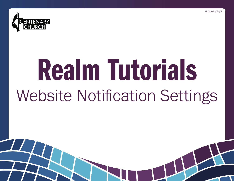



# Realm Tutorials Website Notification Settings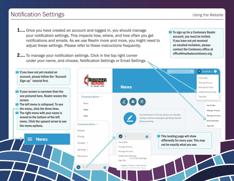## Notification Settings

**1....** Once you have created an account and logged in, you should manage your notification settings. This impacts how, where, and how often you get notifications and emails. As we use Realm more and more, you might need to adjust these settings. Please refer to these instructions frequently.

**2....** To manage your notification settings. Click in the top right corner under your name, and choose, Notification Settings or Email Settings. To sign up for a Centenary Realm account, you must be invited. If you have not yet received an emailed invitation, please contact the Centenary office at office@mankatocentenary.org.

If you have not yet created an account, please follow the "Account Sign-up" tutorial first.

If your screen is narrower than the one pictured here, Realm resizes the screen.

The left menu is collapsed. To see the menu, click the three lines.

 $\blacksquare$  The right menu with your name is moved to the bottom of the left menu. Click the upward arrow to see the menu options.

**News** 

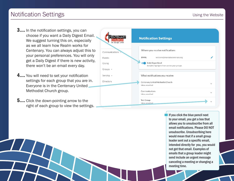## Notification Settings

- **3....** In the notification settings, you can choose if you want a Daily Digest Email. We suggest turning this on, especially as we all learn how Realm works for Centenary. You can always adjust this to your personal preferences. You will only get a Daily Digest if there is new activity, there won't be an email every day.
- 4.... You will need to set your notification settings for each group that you are in. Everyone is in the Centenary United Methodist Church group.
- **5....** Click the down-pointing arrow to the right of each group to view the settings.



If you click the blue pencil next to your email, you get a box that allows you to unsubscribe from all email notifications. Please DO NOT unsubscribe. Unsubscribing here would mean that if a small group leader sent out a specific email, intended directly for you, you would not get that email. Examples of emails that a group leader might send include an urgent message canceling a meeting or changing a meeting time.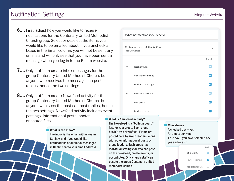## Notification Settings

- **6....** First, adjust how you would like to receive notifications for the Centenary United Methodist Church group. Select or deselect the items you would like to be emailed about. If you uncheck all boxes in the Email column, you will not be sent any emails and will only see that you have been sent a message when you log in to the Realm website.
- **7....** Only staff can create inbox messages for the group Centenary United Methodist Church, but anyone who receives the message can post replies, hence the two settings.
- **8....** Only staff can create Newsfeed activity for the group Centenary United Methodist Church, but anyone who sees the post can post replies, hence the two settings. Newsfeed activity includes event postings, informational posts, photos, or shared files.

#### What is the Inbox?

The inbox is like email within Realm. Set how and if you would like notifications about inbox messages in Realm sent to your email address.

| What notifications you receive |                                                      |              |
|--------------------------------|------------------------------------------------------|--------------|
|                                | Centenary United Methodist Church<br>Inbox, newsfeed | ᄉ            |
|                                |                                                      | Email        |
| $\check{ }$                    | Inbox activity                                       | $\checkmark$ |
|                                | New inbox content                                    | ✓            |
|                                | Replies to messages                                  | $\checkmark$ |
| $\check{ }$                    | Newsfeed activity                                    |              |
|                                | New posts                                            | ✓            |
|                                | Replies to posts                                     |              |

#### What is Newsfeed activity?

The Newsfeed is a "bulletin board" just for your group. Each group has it's own Newsfeed. Events are posted here by group leaders, along with other informational posts by group leaders. Each group has individual settings for who can post on the newsfeed, create events, or post photos. Only church staff can post to the group Centenary United Methodist Church.

**Checkboxes** A checked box  $=$  yes An empty box  $=$  no A "-" box = you have selected one yes and one no Emai Inbox activity  $\overline{\phantom{0}}$ New inbox content Replies to messages П